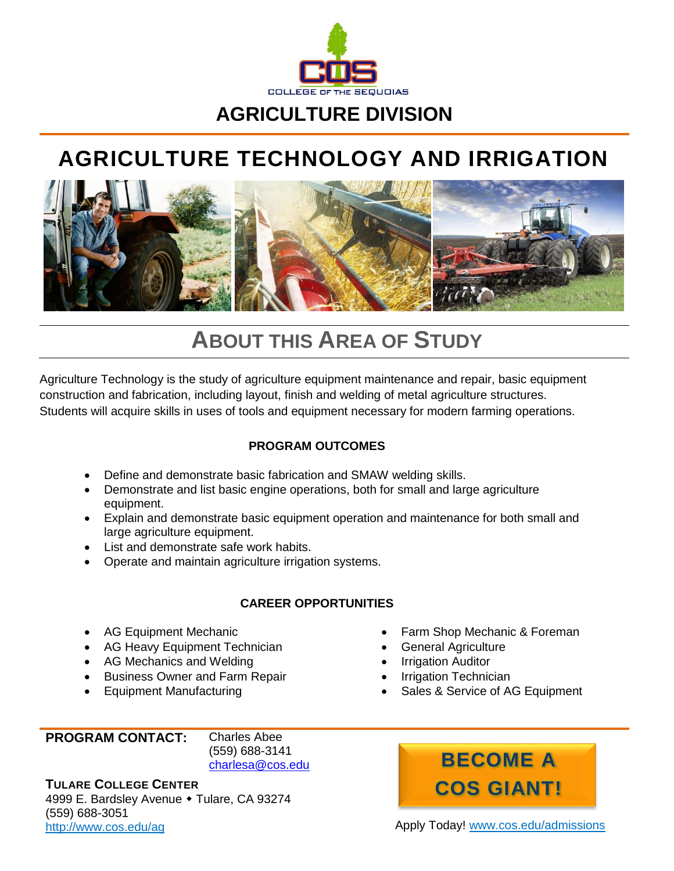

### **AGRICULTURE DIVISION**

## **AGRICULTURE TECHNOLOGY AND IRRIGATION**



## **ABOUT THIS AREA OF STUDY**

Agriculture Technology is the study of agriculture equipment maintenance and repair, basic equipment construction and fabrication, including layout, finish and welding of metal agriculture structures. Students will acquire skills in uses of tools and equipment necessary for modern farming operations.

#### **PROGRAM OUTCOMES**

- Define and demonstrate basic fabrication and SMAW welding skills.
- Demonstrate and list basic engine operations, both for small and large agriculture equipment.
- Explain and demonstrate basic equipment operation and maintenance for both small and large agriculture equipment.
- List and demonstrate safe work habits.
- Operate and maintain agriculture irrigation systems.

#### **CAREER OPPORTUNITIES**

- AG Equipment Mechanic
- AG Heavy Equipment Technician
- AG Mechanics and Welding
- Business Owner and Farm Repair
- Equipment Manufacturing
- Farm Shop Mechanic & Foreman
- General Agriculture
- Irrigation Auditor
- Irrigation Technician
- Sales & Service of AG Equipment

#### **PROGRAM CONTACT:** Charles Abee

(559) 688-3141 [charlesa@cos.edu](mailto:charlesa@cos.edu)

**TULARE COLLEGE CENTER** 4999 E. Bardsley Avenue • Tulare, CA 93274 (559) 688-3051 <http://www.cos.edu/ag> **Apply Today!** [www.cos.edu/admissions](http://www.cos.edu/admissions)

# **BECOME A COS GIANT!**